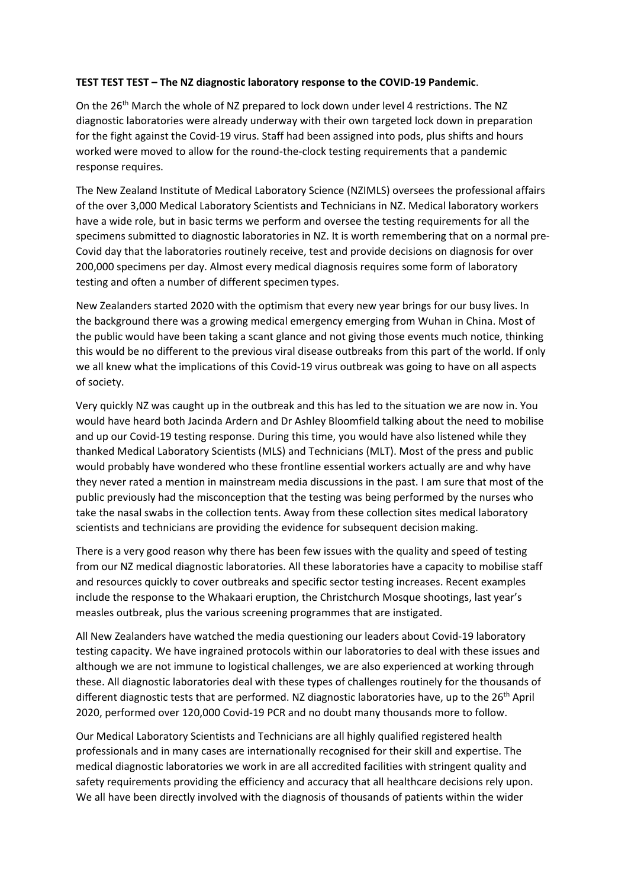## **TEST TEST TEST – The NZ diagnostic laboratory response to the COVID‐19 Pandemic**.

On the 26<sup>th</sup> March the whole of NZ prepared to lock down under level 4 restrictions. The NZ diagnostic laboratories were already underway with their own targeted lock down in preparation for the fight against the Covid-19 virus. Staff had been assigned into pods, plus shifts and hours worked were moved to allow for the round-the-clock testing requirements that a pandemic response requires.

The New Zealand Institute of Medical Laboratory Science (NZIMLS) oversees the professional affairs of the over 3,000 Medical Laboratory Scientists and Technicians in NZ. Medical laboratory workers have a wide role, but in basic terms we perform and oversee the testing requirements for all the specimens submitted to diagnostic laboratories in NZ. It is worth remembering that on a normal pre-Covid day that the laboratories routinely receive, test and provide decisions on diagnosis for over 200,000 specimens per day. Almost every medical diagnosis requires some form of laboratory testing and often a number of different specimen types.

New Zealanders started 2020 with the optimism that every new year brings for our busy lives. In the background there was a growing medical emergency emerging from Wuhan in China. Most of the public would have been taking a scant glance and not giving those events much notice, thinking this would be no different to the previous viral disease outbreaks from this part of the world. If only we all knew what the implications of this Covid‐19 virus outbreak was going to have on all aspects of society.

Very quickly NZ was caught up in the outbreak and this has led to the situation we are now in. You would have heard both Jacinda Ardern and Dr Ashley Bloomfield talking about the need to mobilise and up our Covid‐19 testing response. During this time, you would have also listened while they thanked Medical Laboratory Scientists (MLS) and Technicians (MLT). Most of the press and public would probably have wondered who these frontline essential workers actually are and why have they never rated a mention in mainstream media discussions in the past. I am sure that most of the public previously had the misconception that the testing was being performed by the nurses who take the nasal swabs in the collection tents. Away from these collection sites medical laboratory scientists and technicians are providing the evidence for subsequent decision making.

There is a very good reason why there has been few issues with the quality and speed of testing from our NZ medical diagnostic laboratories. All these laboratories have a capacity to mobilise staff and resources quickly to cover outbreaks and specific sector testing increases. Recent examples include the response to the Whakaari eruption, the Christchurch Mosque shootings, last year's measles outbreak, plus the various screening programmes that are instigated.

All New Zealanders have watched the media questioning our leaders about Covid‐19 laboratory testing capacity. We have ingrained protocols within our laboratories to deal with these issues and although we are not immune to logistical challenges, we are also experienced at working through these. All diagnostic laboratories deal with these types of challenges routinely for the thousands of different diagnostic tests that are performed. NZ diagnostic laboratories have, up to the 26<sup>th</sup> April 2020, performed over 120,000 Covid‐19 PCR and no doubt many thousands more to follow.

Our Medical Laboratory Scientists and Technicians are all highly qualified registered health professionals and in many cases are internationally recognised for their skill and expertise. The medical diagnostic laboratories we work in are all accredited facilities with stringent quality and safety requirements providing the efficiency and accuracy that all healthcare decisions rely upon. We all have been directly involved with the diagnosis of thousands of patients within the wider